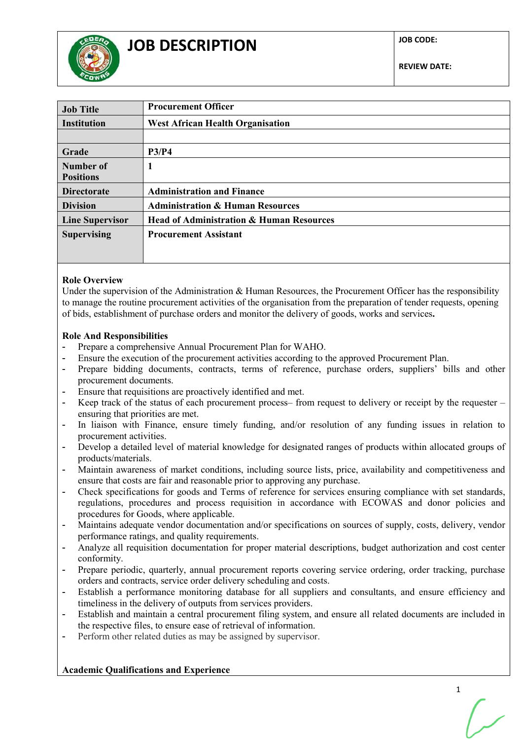

**REVIEW DATE:**

| <b>Job Title</b>       | <b>Procurement Officer</b>                          |  |  |
|------------------------|-----------------------------------------------------|--|--|
| <b>Institution</b>     | <b>West African Health Organisation</b>             |  |  |
|                        |                                                     |  |  |
| Grade                  | P3/P4                                               |  |  |
| Number of              | 1                                                   |  |  |
| <b>Positions</b>       |                                                     |  |  |
| <b>Directorate</b>     | <b>Administration and Finance</b>                   |  |  |
| <b>Division</b>        | <b>Administration &amp; Human Resources</b>         |  |  |
| <b>Line Supervisor</b> | <b>Head of Administration &amp; Human Resources</b> |  |  |
| <b>Supervising</b>     | <b>Procurement Assistant</b>                        |  |  |
|                        |                                                     |  |  |
|                        |                                                     |  |  |

### **Role Overview**

Under the supervision of the Administration & Human Resources, the Procurement Officer has the responsibility to manage the routine procurement activities of the organisation from the preparation of tender requests, opening of bids, establishment of purchase orders and monitor the delivery of goods, works and services**.**

#### **Role And Responsibilities**

- Prepare a comprehensive Annual Procurement Plan for WAHO.
- Ensure the execution of the procurement activities according to the approved Procurement Plan.
- Prepare bidding documents, contracts, terms of reference, purchase orders, suppliers' bills and other procurement documents.
- Ensure that requisitions are proactively identified and met.
- Keep track of the status of each procurement process– from request to delivery or receipt by the requester ensuring that priorities are met.
- In liaison with Finance, ensure timely funding, and/or resolution of any funding issues in relation to procurement activities.
- Develop a detailed level of material knowledge for designated ranges of products within allocated groups of products/materials.
- Maintain awareness of market conditions, including source lists, price, availability and competitiveness and ensure that costs are fair and reasonable prior to approving any purchase.
- Check specifications for goods and Terms of reference for services ensuring compliance with set standards, regulations, procedures and process requisition in accordance with ECOWAS and donor policies and procedures for Goods, where applicable.
- Maintains adequate vendor documentation and/or specifications on sources of supply, costs, delivery, vendor performance ratings, and quality requirements.
- Analyze all requisition documentation for proper material descriptions, budget authorization and cost center conformity.
- Prepare periodic, quarterly, annual procurement reports covering service ordering, order tracking, purchase orders and contracts, service order delivery scheduling and costs.
- Establish a performance monitoring database for all suppliers and consultants, and ensure efficiency and timeliness in the delivery of outputs from services providers.
- Establish and maintain a central procurement filing system, and ensure all related documents are included in the respective files, to ensure ease of retrieval of information.
- Perform other related duties as may be assigned by supervisor.

**Academic Qualifications and Experience**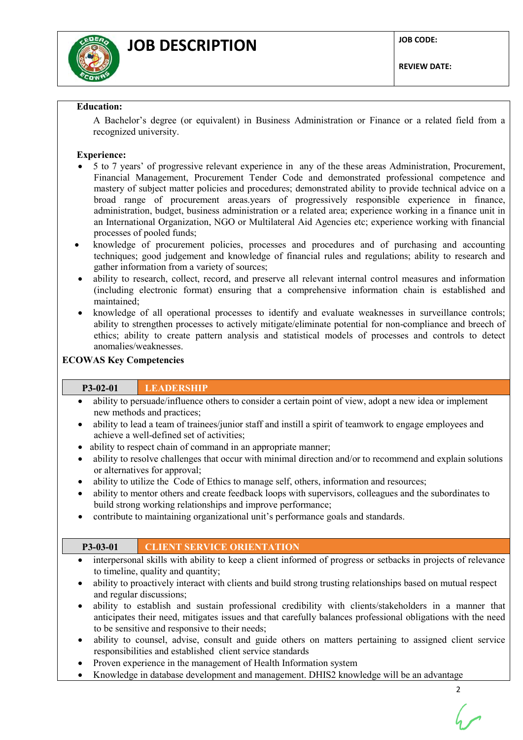

#### **Education:**

A Bachelor's degree (or equivalent) in Business Administration or Finance or a related field from a recognized university.

## **Experience:**

- 5 to 7 years' of progressive relevant experience in any of the these areas Administration, Procurement, Financial Management, Procurement Tender Code and demonstrated professional competence and mastery of subject matter policies and procedures; demonstrated ability to provide technical advice on a broad range of procurement areas.years of progressively responsible experience in finance, administration, budget, business administration or a related area; experience working in a finance unit in an International Organization, NGO or Multilateral Aid Agencies etc; experience working with financial processes of pooled funds;
- knowledge of procurement policies, processes and procedures and of purchasing and accounting techniques; good judgement and knowledge of financial rules and regulations; ability to research and gather information from a variety of sources;
- ability to research, collect, record, and preserve all relevant internal control measures and information (including electronic format) ensuring that a comprehensive information chain is established and maintained;
- knowledge of all operational processes to identify and evaluate weaknesses in surveillance controls; ability to strengthen processes to actively mitigate/eliminate potential for non-compliance and breech of ethics; ability to create pattern analysis and statistical models of processes and controls to detect anomalies/weaknesses.

### **ECOWAS Key Competencies**

# **P3-02-01 LEADERSHIP**

- ability to persuade/influence others to consider a certain point of view, adopt a new idea or implement new methods and practices;
- ability to lead a team of trainees/junior staff and instill a spirit of teamwork to engage employees and achieve a well-defined set of activities;
- ability to respect chain of command in an appropriate manner;
- ability to resolve challenges that occur with minimal direction and/or to recommend and explain solutions or alternatives for approval;
- ability to utilize the Code of Ethics to manage self, others, information and resources;
- ability to mentor others and create feedback loops with supervisors, colleagues and the subordinates to build strong working relationships and improve performance;
- contribute to maintaining organizational unit's performance goals and standards.

## $\mathcal{P}$ **P3-03-01 CLIENT SERVICE ORIENTATION** • interpersonal skills with ability to keep a client informed of progress or setbacks in projects of relevance to timeline, quality and quantity; • ability to proactively interact with clients and build strong trusting relationships based on mutual respect and regular discussions; • ability to establish and sustain professional credibility with clients/stakeholders in a manner that anticipates their need, mitigates issues and that carefully balances professional obligations with the need to be sensitive and responsive to their needs; ability to counsel, advise, consult and guide others on matters pertaining to assigned client service responsibilities and established client service standards • Proven experience in the management of Health Information system • Knowledge in database development and management. DHIS2 knowledge will be an advantage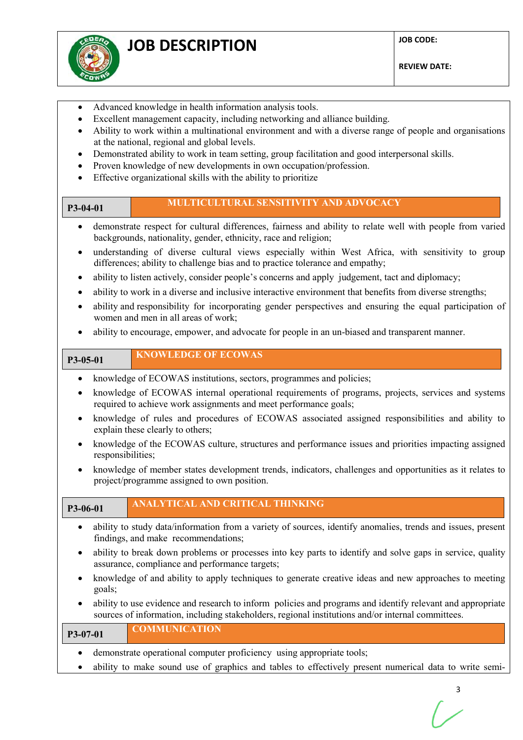

- Advanced knowledge in health information analysis tools.
- Excellent management capacity, including networking and alliance building.
- Ability to work within a multinational environment and with a diverse range of people and organisations at the national, regional and global levels.
- Demonstrated ability to work in team setting, group facilitation and good interpersonal skills.
- Proven knowledge of new developments in own occupation/profession.
- Effective organizational skills with the ability to prioritize

# **P3-04-01 MULTICULTURAL SENSITIVITY AND ADVOCACY**

- demonstrate respect for cultural differences, fairness and ability to relate well with people from varied backgrounds, nationality, gender, ethnicity, race and religion;
- understanding of diverse cultural views especially within West Africa, with sensitivity to group differences; ability to challenge bias and to practice tolerance and empathy;
- ability to listen actively, consider people's concerns and apply judgement, tact and diplomacy;
- ability to work in a diverse and inclusive interactive environment that benefits from diverse strengths;
- ability and responsibility for incorporating gender perspectives and ensuring the equal participation of women and men in all areas of work;
- ability to encourage, empower, and advocate for people in an un-biased and transparent manner.

**P3-05-01 KNOWLEDGE OF ECOWAS**

- knowledge of ECOWAS institutions, sectors, programmes and policies;
- knowledge of ECOWAS internal operational requirements of programs, projects, services and systems required to achieve work assignments and meet performance goals;
- knowledge of rules and procedures of ECOWAS associated assigned responsibilities and ability to explain these clearly to others;
- knowledge of the ECOWAS culture, structures and performance issues and priorities impacting assigned responsibilities;
- knowledge of member states development trends, indicators, challenges and opportunities as it relates to project/programme assigned to own position.

**P3-06-01 ANALYTICAL AND CRITICAL THINKING**

- ability to study data/information from a variety of sources, identify anomalies, trends and issues, present findings, and make recommendations;
- ability to break down problems or processes into key parts to identify and solve gaps in service, quality assurance, compliance and performance targets;
- knowledge of and ability to apply techniques to generate creative ideas and new approaches to meeting goals;
- ability to use evidence and research to inform policies and programs and identify relevant and appropriate sources of information, including stakeholders, regional institutions and/or internal committees.

| $P3-07-01$                                                            | <b>COMMUNICATION</b> |  |  |  |
|-----------------------------------------------------------------------|----------------------|--|--|--|
| demonstrate operational computer proficiency using appropriate tools; |                      |  |  |  |

• ability to make sound use of graphics and tables to effectively present numerical data to write semi-

3